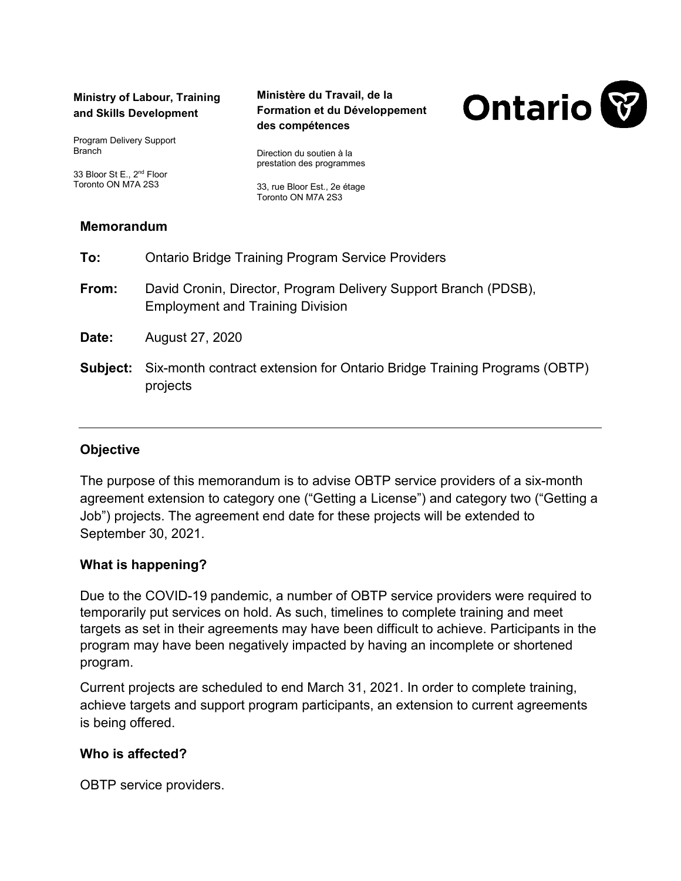#### **Ministry of Labour, Training and Skills Development**

Program Delivery Support **Branch** 

33 Bloor St E., 2nd Floor Toronto ON M7A 2S3

#### **Ministère du Travail, de la Formation et du Développement des compétences**

Direction du soutien à la prestation des programmes

33, rue Bloor Est., 2e étage Toronto ON M7A 2S3

# **Memorandum**

| To:      | <b>Ontario Bridge Training Program Service Providers</b>                                                   |
|----------|------------------------------------------------------------------------------------------------------------|
| From:    | David Cronin, Director, Program Delivery Support Branch (PDSB),<br><b>Employment and Training Division</b> |
| Date:    | August 27, 2020                                                                                            |
| Subject: | Six-month contract extension for Ontario Bridge Training Programs (OBTP)<br>projects                       |

# **Objective**

The purpose of this memorandum is to advise OBTP service providers of a six-month agreement extension to category one ("Getting a License") and category two ("Getting a Job") projects. The agreement end date for these projects will be extended to September 30, 2021.

# **What is happening?**

Due to the COVID-19 pandemic, a number of OBTP service providers were required to temporarily put services on hold. As such, timelines to complete training and meet targets as set in their agreements may have been difficult to achieve. Participants in the program may have been negatively impacted by having an incomplete or shortened program.

Current projects are scheduled to end March 31, 2021. In order to complete training, achieve targets and support program participants, an extension to current agreements is being offered.

# **Who is affected?**

OBTP service providers.